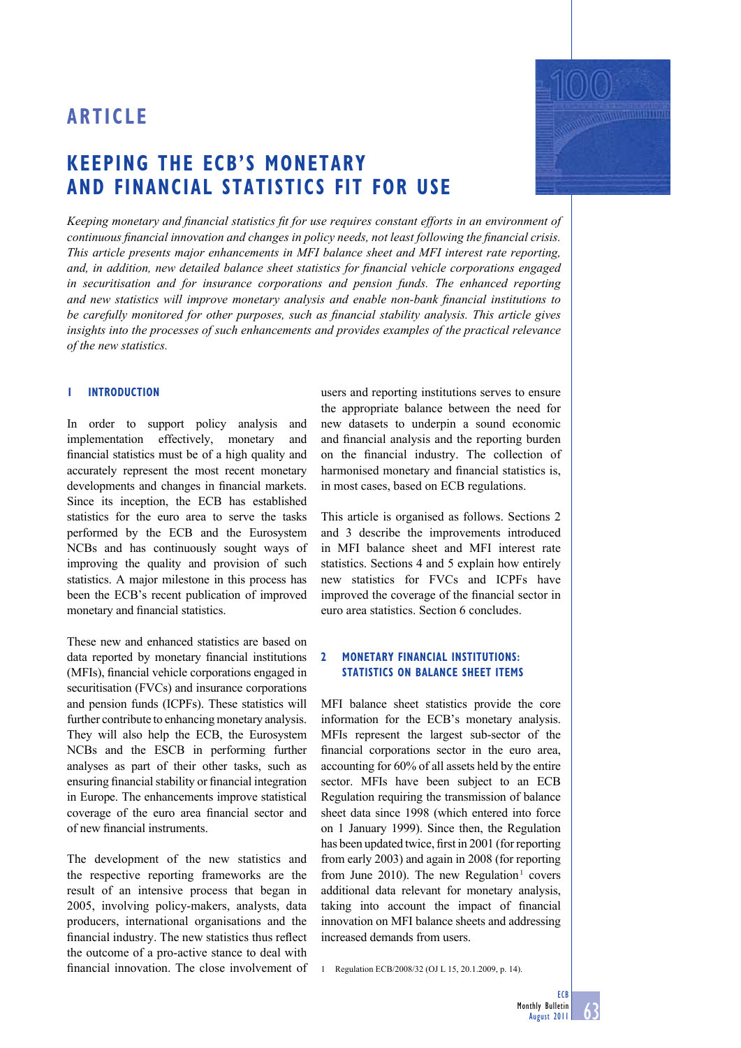## **KEEPING THE ECB'S MONETARY AND FINANCIAL STATISTICS FIT FOR USE**

Keeping monetary and financial statistics fit for use requires constant efforts in an environment of *continuous financial innovation and changes in policy needs, not least following the financial crisis. This article presents major enhancements in MFI balance sheet and MFI interest rate reporting, and, in addition, new detailed balance sheet statistics for financial vehicle corporations engaged in securitisation and for insurance corporations and pension funds. The enhanced reporting*  and new statistics will improve monetary analysis and enable non-bank financial institutions to *be carefully monitored for other purposes, such as financial stability analysis. This article gives insights into the processes of such enhancements and provides examples of the practical relevance of the new statistics.*

## **1 INTRODUCTION**

In order to support policy analysis and implementation effectively, monetary and financial statistics must be of a high quality and accurately represent the most recent monetary developments and changes in financial markets. Since its inception, the ECB has established statistics for the euro area to serve the tasks performed by the ECB and the Eurosystem NCBs and has continuously sought ways of improving the quality and provision of such statistics. A major milestone in this process has been the ECB's recent publication of improved monetary and financial statistics.

These new and enhanced statistics are based on data reported by monetary financial institutions (MFIs), financial vehicle corporations engaged in securitisation (FVCs) and insurance corporations and pension funds (ICPFs). These statistics will further contribute to enhancing monetary analysis. They will also help the ECB, the Eurosystem NCBs and the ESCB in performing further analyses as part of their other tasks, such as ensuring financial stability or financial integration in Europe. The enhancements improve statistical coverage of the euro area financial sector and of new financial instruments.

The development of the new statistics and the respective reporting frameworks are the result of an intensive process that began in 2005, involving policy-makers, analysts, data producers, international organisations and the financial industry. The new statistics thus reflect the outcome of a pro-active stance to deal with financial innovation. The close involvement of

users and reporting institutions serves to ensure the appropriate balance between the need for new datasets to underpin a sound economic and financial analysis and the reporting burden on the financial industry. The collection of harmonised monetary and financial statistics is, in most cases, based on ECB regulations.

This article is organised as follows. Sections 2 and 3 describe the improvements introduced in MFI balance sheet and MFI interest rate statistics. Sections 4 and 5 explain how entirely new statistics for FVCs and ICPFs have improved the coverage of the financial sector in euro area statistics. Section 6 concludes.

## **2 MONETARY FINANCIAL INSTITUTIONS: STATISTICS ON BALANCE SHEET ITEMS**

MFI balance sheet statistics provide the core information for the ECB's monetary analysis. MFIs represent the largest sub-sector of the financial corporations sector in the euro area, accounting for 60% of all assets held by the entire sector. MFIs have been subject to an ECB Regulation requiring the transmission of balance sheet data since 1998 (which entered into force on 1 January 1999). Since then, the Regulation has been updated twice, first in 2001 (for reporting from early 2003) and again in 2008 (for reporting from June 2010). The new Regulation<sup>1</sup> covers additional data relevant for monetary analysis, taking into account the impact of financial innovation on MFI balance sheets and addressing increased demands from users.

1 Regulation ECB/2008/32 (OJ L 15, 20.1.2009, p. 14).

**ECB** 

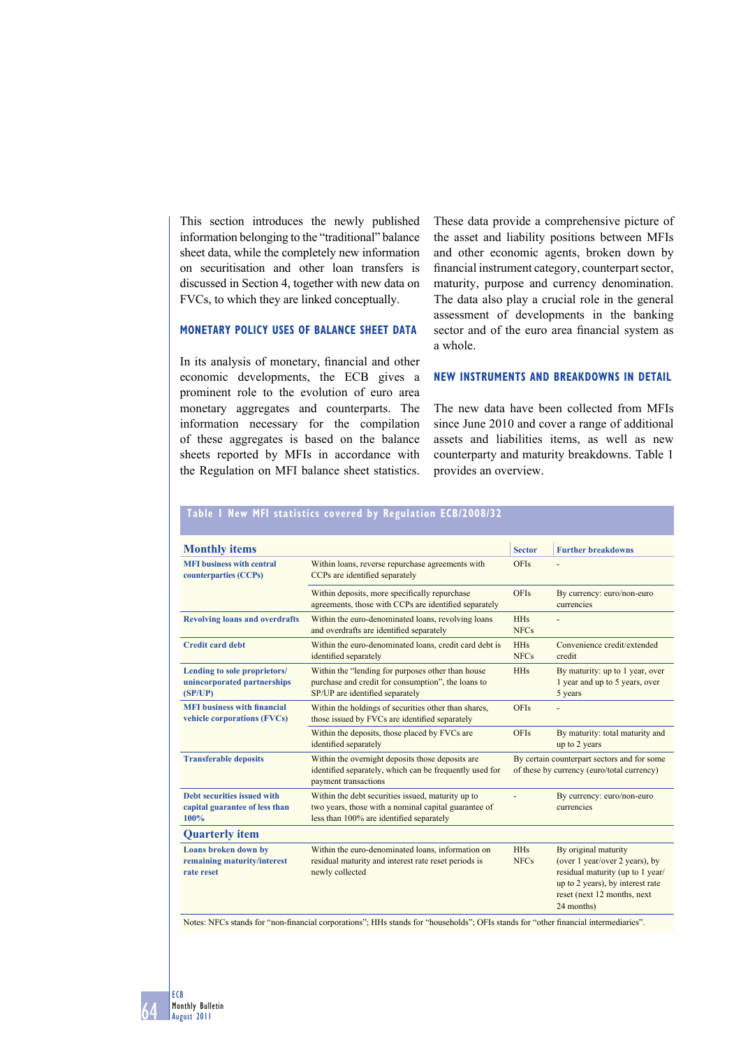This section introduces the newly published information belonging to the "traditional" balance sheet data, while the completely new information on securitisation and other loan transfers is discussed in Section 4, together with new data on FVCs, to which they are linked conceptually.

## **MONETARY POLICY USES OF BALANCE SHEET DATA**

In its analysis of monetary, financial and other economic developments, the ECB gives a prominent role to the evolution of euro area monetary aggregates and counterparts. The information necessary for the compilation of these aggregates is based on the balance sheets reported by MFIs in accordance with the Regulation on MFI balance sheet statistics.

**Table 1 New MFI statistics covered by Regulation ECB/2008/32** 

These data provide a comprehensive picture of the asset and liability positions between MFIs and other economic agents, broken down by financial instrument category, counterpart sector, maturity, purpose and currency denomination. The data also play a crucial role in the general assessment of developments in the banking sector and of the euro area financial system as a whole.

## **NEW INSTRUMENTS AND BREAKDOWNS IN DETAIL**

The new data have been collected from MFIs since June 2010 and cover a range of additional assets and liabilities items, as well as new counterparty and maturity breakdowns. Table 1 provides an overview.

| <b>Monthly items</b>                                                   |                                                                                                                                                       | <b>Sector</b>                                                                             | <b>Further breakdowns</b>                                                                                                                                                   |
|------------------------------------------------------------------------|-------------------------------------------------------------------------------------------------------------------------------------------------------|-------------------------------------------------------------------------------------------|-----------------------------------------------------------------------------------------------------------------------------------------------------------------------------|
| <b>MFI</b> business with central<br>counterparties (CCPs)              | Within loans, reverse repurchase agreements with<br>CCPs are identified separately                                                                    | <b>OFIs</b>                                                                               |                                                                                                                                                                             |
|                                                                        | Within deposits, more specifically repurchase<br>agreements, those with CCPs are identified separately                                                | <b>OFIs</b>                                                                               | By currency: euro/non-euro<br>currencies                                                                                                                                    |
| <b>Revolving loans and overdrafts</b>                                  | Within the euro-denominated loans, revolving loans<br>and overdrafts are identified separately                                                        | <b>HHs</b><br><b>NFCs</b>                                                                 |                                                                                                                                                                             |
| <b>Credit card debt</b>                                                | Within the euro-denominated loans, credit card debt is<br>identified separately                                                                       | <b>HHs</b><br><b>NFCs</b>                                                                 | Convenience credit/extended<br>credit                                                                                                                                       |
| Lending to sole proprietors/<br>unincorporated partnerships<br>(SP/UP) | Within the "lending for purposes other than house<br>purchase and credit for consumption", the loans to<br>SP/UP are identified separately            | <b>HHs</b>                                                                                | By maturity: up to 1 year, over<br>1 year and up to 5 years, over<br>5 years                                                                                                |
| <b>MFI</b> business with financial<br>vehicle corporations (FVCs)      | Within the holdings of securities other than shares,<br>those issued by FVCs are identified separately                                                | <b>OFIs</b>                                                                               |                                                                                                                                                                             |
|                                                                        | Within the deposits, those placed by FVCs are<br>identified separately                                                                                | <b>OFIs</b>                                                                               | By maturity: total maturity and<br>up to 2 years                                                                                                                            |
| <b>Transferable deposits</b>                                           | Within the overnight deposits those deposits are<br>identified separately, which can be frequently used for<br>payment transactions                   | By certain counterpart sectors and for some<br>of these by currency (euro/total currency) |                                                                                                                                                                             |
| Debt securities issued with<br>capital guarantee of less than<br>100%  | Within the debt securities issued, maturity up to<br>two years, those with a nominal capital guarantee of<br>less than 100% are identified separately |                                                                                           | By currency: euro/non-euro<br>currencies                                                                                                                                    |
| <b>Quarterly item</b>                                                  |                                                                                                                                                       |                                                                                           |                                                                                                                                                                             |
| Loans broken down by<br>remaining maturity/interest<br>rate reset      | Within the euro-denominated loans, information on<br>residual maturity and interest rate reset periods is<br>newly collected                          | <b>HHs</b><br><b>NFCs</b>                                                                 | By original maturity<br>(over 1 year/over 2 years), by<br>residual maturity (up to 1 year/<br>up to 2 years), by interest rate<br>reset (next 12 months, next<br>24 months) |

Notes: NFCs stands for "non-financial corporations"; HHs stands for "households"; OFIs stands for "other financial intermediaries".

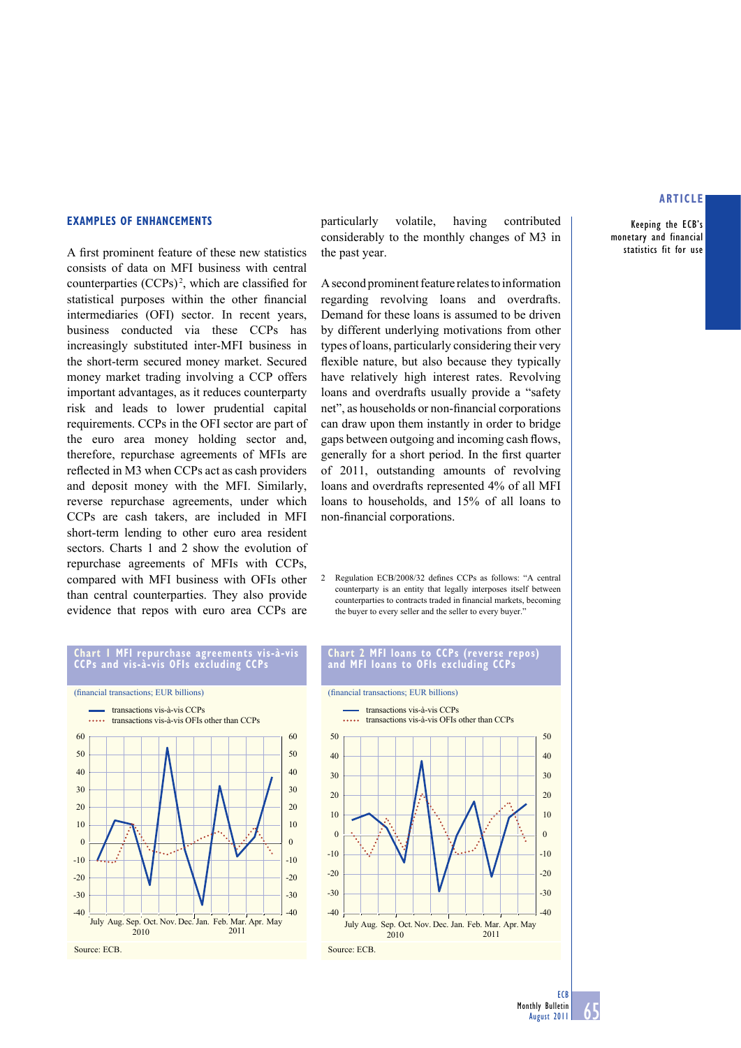Keeping the ECB's monetary and financial statistics fit for use

#### **EXAMPLES OF ENHANCEMENTS**

A first prominent feature of these new statistics consists of data on MFI business with central counterparties  $(CCPs)^2$ , which are classified for statistical purposes within the other financial intermediaries (OFI) sector. In recent years, business conducted via these CCPs has increasingly substituted inter-MFI business in the short-term secured money market. Secured money market trading involving a CCP offers important advantages, as it reduces counterparty risk and leads to lower prudential capital requirements. CCPs in the OFI sector are part of the euro area money holding sector and, therefore, repurchase agreements of MFIs are reflected in M3 when CCPs act as cash providers and deposit money with the MFI. Similarly, reverse repurchase agreements, under which CCPs are cash takers, are included in MFI short-term lending to other euro area resident sectors. Charts 1 and 2 show the evolution of repurchase agreements of MFIs with CCPs, compared with MFI business with OFIs other than central counterparties. They also provide evidence that repos with euro area CCPs are

particularly volatile, having contributed considerably to the monthly changes of M3 in the past year.

A second prominent feature relates to information regarding revolving loans and overdrafts. Demand for these loans is assumed to be driven by different underlying motivations from other types of loans, particularly considering their very flexible nature, but also because they typically have relatively high interest rates. Revolving loans and overdrafts usually provide a "safety net", as households or non-financial corporations can draw upon them instantly in order to bridge gaps between outgoing and incoming cash flows, generally for a short period. In the first quarter of 2011, outstanding amounts of revolving loans and overdrafts represented 4% of all MFI loans to households, and 15% of all loans to non-financial corporations.

2 Regulation ECB/2008/32 defines CCPs as follows: "A central counterparty is an entity that legally interposes itself between counterparties to contracts traded in financial markets, becoming the buyer to every seller and the seller to every buyer."

#### **Chart 1 MFI repurchase agreements vis-à-vis CCPs and vis-à-vis OFIs excluding CCPs**



### **Chart 2 MFI loans to CCPs (reverse repos) and MFI loans to OFIs excluding CCPs**



**ECB** 

65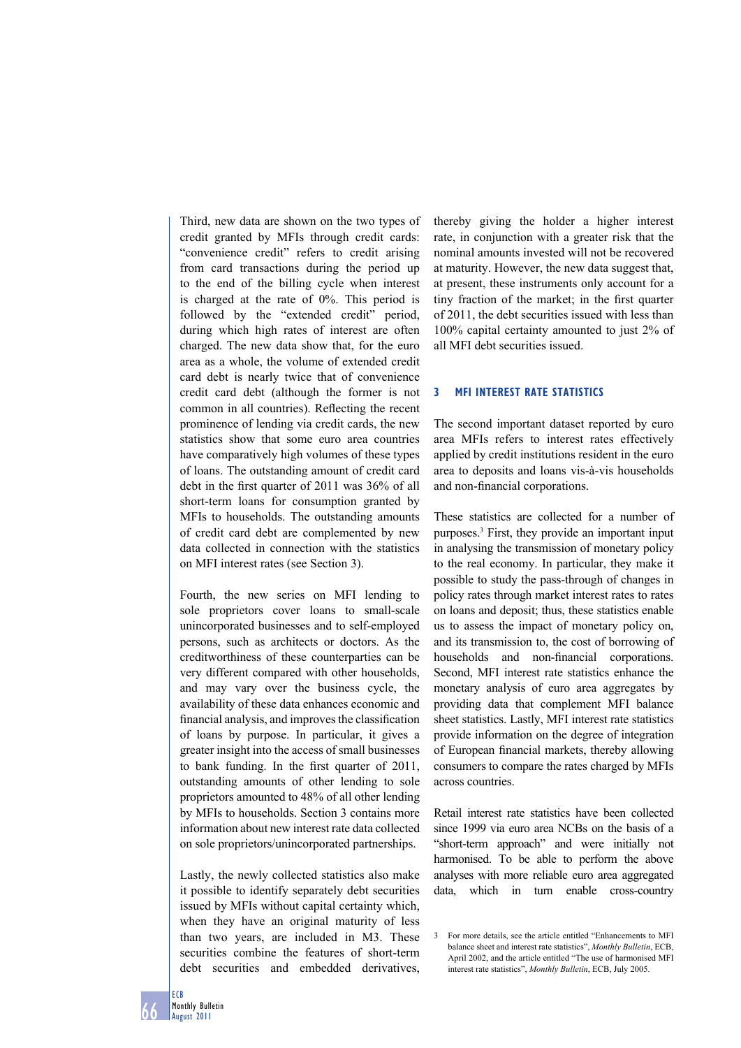Third, new data are shown on the two types of credit granted by MFIs through credit cards: "convenience credit" refers to credit arising from card transactions during the period up to the end of the billing cycle when interest is charged at the rate of 0%. This period is followed by the "extended credit" period, during which high rates of interest are often charged. The new data show that, for the euro area as a whole, the volume of extended credit card debt is nearly twice that of convenience credit card debt (although the former is not common in all countries). Reflecting the recent prominence of lending via credit cards, the new statistics show that some euro area countries have comparatively high volumes of these types of loans. The outstanding amount of credit card debt in the first quarter of  $2011$  was  $36\%$  of all short-term loans for consumption granted by MFIs to households. The outstanding amounts of credit card debt are complemented by new data collected in connection with the statistics on MFI interest rates (see Section 3).

Fourth, the new series on MFI lending to sole proprietors cover loans to small-scale unincorporated businesses and to self-employed persons, such as architects or doctors. As the creditworthiness of these counterparties can be very different compared with other households, and may vary over the business cycle, the availability of these data enhances economic and financial analysis, and improves the classification of loans by purpose. In particular, it gives a greater insight into the access of small businesses to bank funding. In the first quarter of 2011, outstanding amounts of other lending to sole proprietors amounted to 48% of all other lending by MFIs to households. Section 3 contains more information about new interest rate data collected on sole proprietors/unincorporated partnerships.

Lastly, the newly collected statistics also make it possible to identify separately debt securities issued by MFIs without capital certainty which, when they have an original maturity of less than two years, are included in M3. These securities combine the features of short-term debt securities and embedded derivatives,

thereby giving the holder a higher interest rate, in conjunction with a greater risk that the nominal amounts invested will not be recovered at maturity. However, the new data suggest that, at present, these instruments only account for a tiny fraction of the market; in the first quarter of 2011, the debt securities issued with less than 100% capital certainty amounted to just 2% of all MFI debt securities issued.

## **3 MFI INTEREST RATE STATISTICS**

The second important dataset reported by euro area MFIs refers to interest rates effectively applied by credit institutions resident in the euro area to deposits and loans vis-à-vis households and non-financial corporations.

These statistics are collected for a number of purposes.3 First, they provide an important input in analysing the transmission of monetary policy to the real economy. In particular, they make it possible to study the pass-through of changes in policy rates through market interest rates to rates on loans and deposit; thus, these statistics enable us to assess the impact of monetary policy on, and its transmission to, the cost of borrowing of households and non-financial corporations. Second, MFI interest rate statistics enhance the monetary analysis of euro area aggregates by providing data that complement MFI balance sheet statistics. Lastly, MFI interest rate statistics provide information on the degree of integration of European financial markets, thereby allowing consumers to compare the rates charged by MFIs across countries.

Retail interest rate statistics have been collected since 1999 via euro area NCBs on the basis of a "short-term approach" and were initially not harmonised. To be able to perform the above analyses with more reliable euro area aggregated data, which in turn enable cross-country

ECB

<sup>3</sup> For more details, see the article entitled "Enhancements to MFI balance sheet and interest rate statistics", *Monthly Bulletin*, ECB, April 2002, and the article entitled "The use of harmonised MFI interest rate statistics", *Monthly Bulletin*, ECB, July 2005.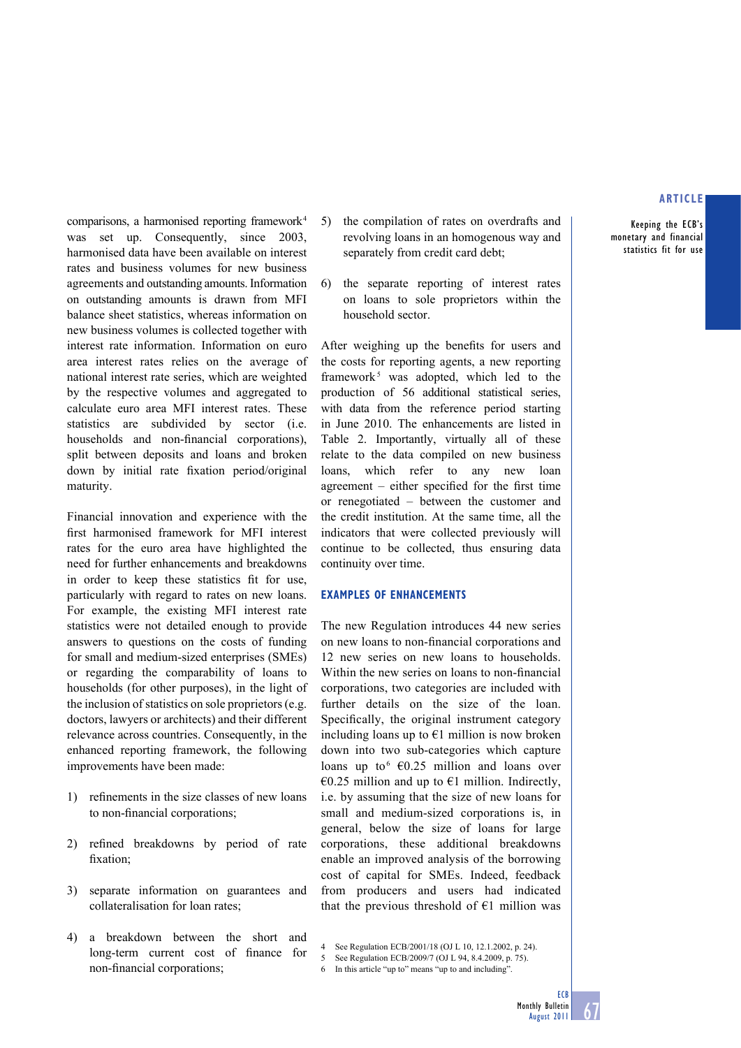Keeping the ECB's monetary and financial statistics fit for use

comparisons, a harmonised reporting framework 4 was set up. Consequently, since 2003, harmonised data have been available on interest rates and business volumes for new business agreements and outstanding amounts. Information on outstanding amounts is drawn from MFI balance sheet statistics, whereas information on new business volumes is collected together with interest rate information. Information on euro area interest rates relies on the average of national interest rate series, which are weighted by the respective volumes and aggregated to calculate euro area MFI interest rates. These statistics are subdivided by sector (i.e. households and non-financial corporations), split between deposits and loans and broken down by initial rate fixation period/original maturity.

Financial innovation and experience with the first harmonised framework for MFI interest rates for the euro area have highlighted the need for further enhancements and breakdowns in order to keep these statistics fit for use, particularly with regard to rates on new loans. For example, the existing MFI interest rate statistics were not detailed enough to provide answers to questions on the costs of funding for small and medium-sized enterprises (SMEs) or regarding the comparability of loans to households (for other purposes), in the light of the inclusion of statistics on sole proprietors (e.g. doctors, lawyers or architects) and their different relevance across countries. Consequently, in the enhanced reporting framework, the following improvements have been made:

- 1) refinements in the size classes of new loans to non-financial corporations;
- 2) refined breakdowns by period of rate fixation;
- 3) separate information on guarantees and collateralisation for loan rates;
- 4) a breakdown between the short and long-term current cost of finance for non-financial corporations;
- 5) the compilation of rates on overdrafts and revolving loans in an homogenous way and separately from credit card debt;
- 6) the separate reporting of interest rates on loans to sole proprietors within the household sector.

After weighing up the benefits for users and the costs for reporting agents, a new reporting framework<sup>5</sup> was adopted, which led to the production of 56 additional statistical series, with data from the reference period starting in June 2010. The enhancements are listed in Table 2. Importantly, virtually all of these relate to the data compiled on new business loans, which refer to any new loan agreement – either specified for the first time or renegotiated – between the customer and the credit institution. At the same time, all the indicators that were collected previously will continue to be collected, thus ensuring data continuity over time.

#### **EXAMPLES OF ENHANCEMENTS**

The new Regulation introduces 44 new series on new loans to non-financial corporations and 12 new series on new loans to households. Within the new series on loans to non-financial corporations, two categories are included with further details on the size of the loan. Specifically, the original instrument category including loans up to  $E1$  million is now broken down into two sub-categories which capture loans up to  $6 \text{ } \infty$  60.25 million and loans over €0.25 million and up to €1 million. Indirectly, i.e. by assuming that the size of new loans for small and medium-sized corporations is, in general, below the size of loans for large corporations, these additional breakdowns enable an improved analysis of the borrowing cost of capital for SMEs. Indeed, feedback from producers and users had indicated that the previous threshold of  $E1$  million was

- See Regulation ECB/2009/7 (OJ L 94, 8.4.2009, p. 75).
- 6 In this article "up to" means "up to and including".

**ECB** 

<sup>4</sup> See Regulation ECB/2001/18 (OJ L 10, 12.1.2002, p. 24).<br>5 See Regulation ECB/2009/7 (OJ L 94, 8.4.2009, p. 75).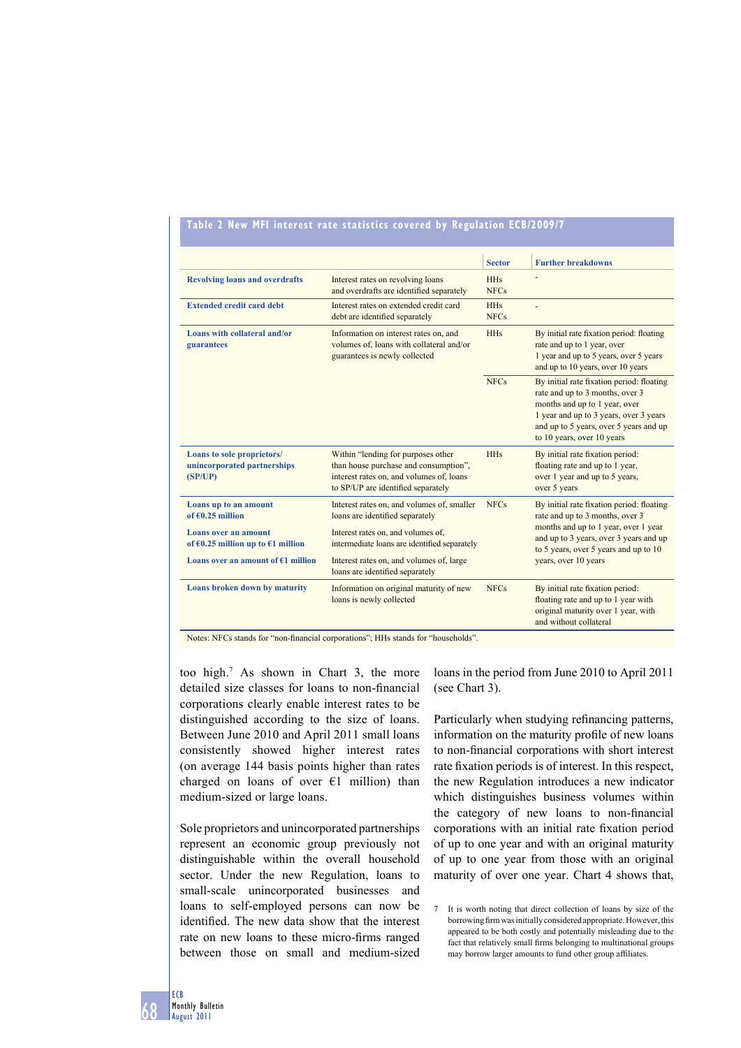## **Table 2 New MFI interest rate statistics covered by Regulation ECB/2009/7**

|                                                                      |                                                                                                                                                               | <b>Sector</b>             | <b>Further breakdowns</b>                                                                                                                                                                                                       |
|----------------------------------------------------------------------|---------------------------------------------------------------------------------------------------------------------------------------------------------------|---------------------------|---------------------------------------------------------------------------------------------------------------------------------------------------------------------------------------------------------------------------------|
| <b>Revolving loans and overdrafts</b>                                | Interest rates on revolving loans<br>and overdrafts are identified separately                                                                                 | <b>HHs</b><br><b>NFCs</b> |                                                                                                                                                                                                                                 |
| <b>Extended credit card debt</b>                                     | Interest rates on extended credit card<br>debt are identified separately                                                                                      | <b>HHs</b><br><b>NFCs</b> |                                                                                                                                                                                                                                 |
| Loans with collateral and/or<br>guarantees                           | Information on interest rates on, and<br>volumes of, loans with collateral and/or<br>guarantees is newly collected                                            | <b>HHs</b>                | By initial rate fixation period: floating<br>rate and up to 1 year, over<br>1 year and up to 5 years, over 5 years<br>and up to 10 years, over 10 years                                                                         |
|                                                                      |                                                                                                                                                               | <b>NFCs</b>               | By initial rate fixation period: floating<br>rate and up to 3 months, over 3<br>months and up to 1 year, over<br>1 year and up to 3 years, over 3 years<br>and up to 5 years, over 5 years and up<br>to 10 years, over 10 years |
| Loans to sole proprietors/<br>unincorporated partnerships<br>(SP/UP) | Within "lending for purposes other<br>than house purchase and consumption",<br>interest rates on, and volumes of, loans<br>to SP/UP are identified separately | <b>HHs</b>                | By initial rate fixation period:<br>floating rate and up to 1 year,<br>over 1 year and up to 5 years,<br>over 5 years                                                                                                           |
| Loans up to an amount<br>of $60.25$ million                          | Interest rates on, and volumes of, smaller<br>loans are identified separately                                                                                 | <b>NFCs</b>               | By initial rate fixation period: floating<br>rate and up to 3 months, over 3                                                                                                                                                    |
| Loans over an amount<br>of $60.25$ million up to $61$ million        | Interest rates on, and volumes of,<br>intermediate loans are identified separately                                                                            |                           | months and up to 1 year, over 1 year<br>and up to 3 years, over 3 years and up<br>to 5 years, over 5 years and up to 10                                                                                                         |
| Loans over an amount of $E1$ million                                 | Interest rates on, and volumes of, large<br>loans are identified separately                                                                                   |                           | years, over 10 years                                                                                                                                                                                                            |
| Loans broken down by maturity                                        | Information on original maturity of new<br>loans is newly collected                                                                                           | <b>NFCs</b>               | By initial rate fixation period:<br>floating rate and up to 1 year with<br>original maturity over 1 year, with<br>and without collateral                                                                                        |

Notes: NFCs stands for "non-financial corporations"; HHs stands for "households".

too high.7 As shown in Chart 3, the more detailed size classes for loans to non-financial corporations clearly enable interest rates to be distinguished according to the size of loans. Between June 2010 and April 2011 small loans consistently showed higher interest rates (on average 144 basis points higher than rates charged on loans of over  $E1$  million) than medium-sized or large loans.

Sole proprietors and unincorporated partnerships represent an economic group previously not distinguishable within the overall household sector. Under the new Regulation, loans to small-scale unincorporated businesses and loans to self-employed persons can now be identified. The new data show that the interest rate on new loans to these micro-firms ranged between those on small and medium-sized

loans in the period from June 2010 to April 2011 (see Chart 3).

Particularly when studying refinancing patterns, information on the maturity profile of new loans to non-financial corporations with short interest rate fixation periods is of interest. In this respect, the new Regulation introduces a new indicator which distinguishes business volumes within the category of new loans to non-financial corporations with an initial rate fixation period of up to one year and with an original maturity of up to one year from those with an original maturity of over one year. Chart 4 shows that,

<sup>7</sup> It is worth noting that direct collection of loans by size of the borrowing firm was initially considered appropriate. However, this appeared to be both costly and potentially misleading due to the fact that relatively small firms belonging to multinational groups may borrow larger amounts to fund other group affiliates.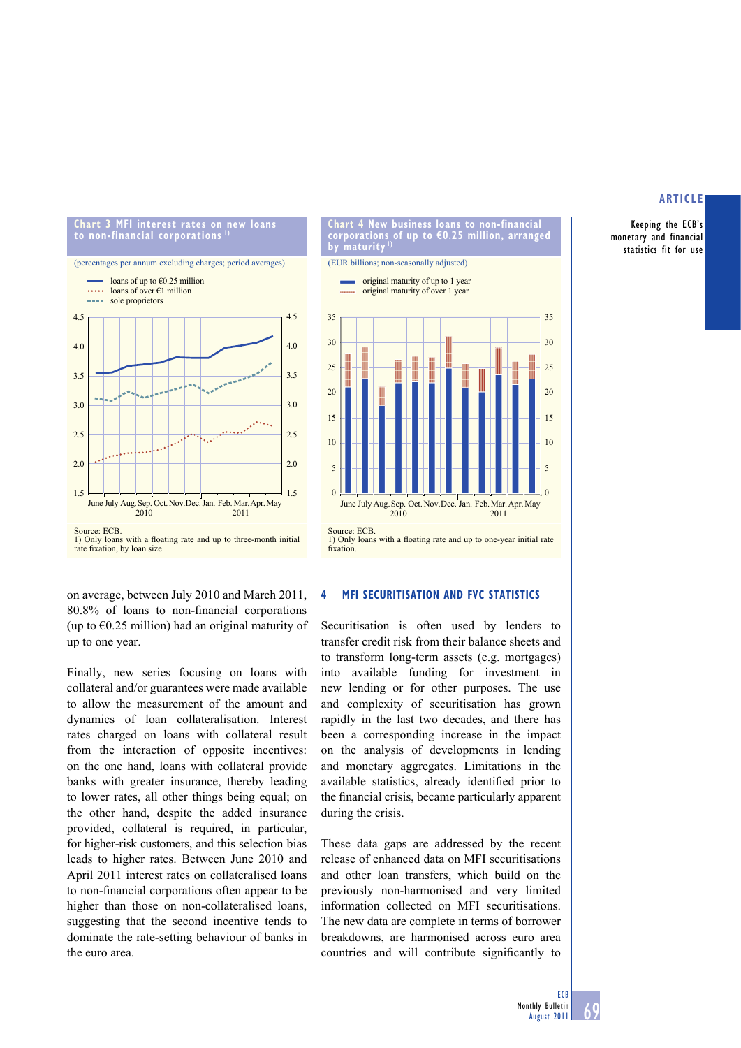Keeping the ECB's monetary and financial statistics fit for use



**Chart 4 New business loans to non-financial corporations of up to €0.25 million, arranged by maturity 1)**



on average, between July 2010 and March 2011, 80.8% of loans to non-financial corporations (up to  $\epsilon$ 0.25 million) had an original maturity of up to one year.

Finally, new series focusing on loans with collateral and/or guarantees were made available to allow the measurement of the amount and dynamics of loan collateralisation. Interest rates charged on loans with collateral result from the interaction of opposite incentives: on the one hand, loans with collateral provide banks with greater insurance, thereby leading to lower rates, all other things being equal; on the other hand, despite the added insurance provided, collateral is required, in particular, for higher-risk customers, and this selection bias leads to higher rates. Between June 2010 and April 2011 interest rates on collateralised loans to non-financial corporations often appear to be higher than those on non-collateralised loans, suggesting that the second incentive tends to dominate the rate-setting behaviour of banks in the euro area.

#### **4 MFI SECURITISATION AND FVC STATISTICS**

Securitisation is often used by lenders to transfer credit risk from their balance sheets and to transform long-term assets (e.g. mortgages) into available funding for investment in new lending or for other purposes. The use and complexity of securitisation has grown rapidly in the last two decades, and there has been a corresponding increase in the impact on the analysis of developments in lending and monetary aggregates. Limitations in the available statistics, already identified prior to the financial crisis, became particularly apparent during the crisis.

These data gaps are addressed by the recent release of enhanced data on MFI securitisations and other loan transfers, which build on the previously non-harmonised and very limited information collected on MFI securitisations. The new data are complete in terms of borrower breakdowns, are harmonised across euro area countries and will contribute significantly to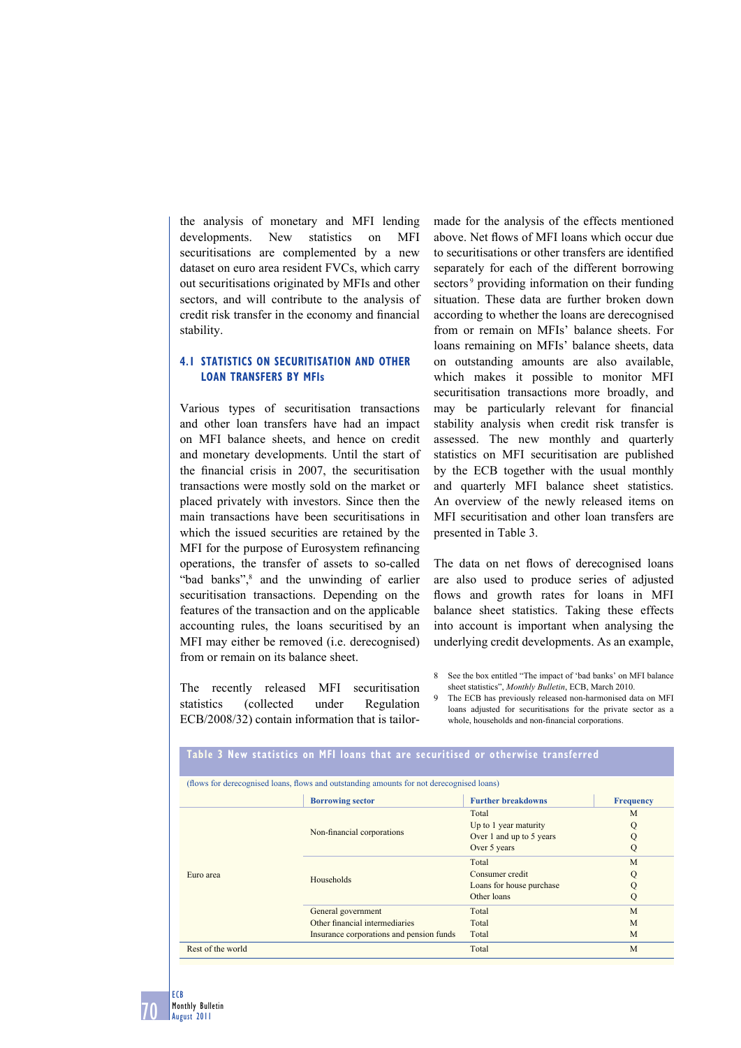the analysis of monetary and MFI lending developments. New statistics on MFI securitisations are complemented by a new dataset on euro area resident FVCs, which carry out securitisations originated by MFIs and other sectors, and will contribute to the analysis of credit risk transfer in the economy and financial stability.

## **4.1 STATISTICS ON SECURITISATION AND OTHER LOAN TRANSFERS BY MFIs**

Various types of securitisation transactions and other loan transfers have had an impact on MFI balance sheets, and hence on credit and monetary developments. Until the start of the financial crisis in  $2007$ , the securitisation transactions were mostly sold on the market or placed privately with investors. Since then the main transactions have been securitisations in which the issued securities are retained by the MFI for the purpose of Eurosystem refinancing operations, the transfer of assets to so-called "bad banks",<sup>8</sup> and the unwinding of earlier securitisation transactions. Depending on the features of the transaction and on the applicable accounting rules, the loans securitised by an MFI may either be removed (i.e. derecognised) from or remain on its balance sheet.

The recently released MFI securitisation statistics (collected under Regulation ECB/2008/32) contain information that is tailormade for the analysis of the effects mentioned above. Net flows of MFI loans which occur due to securitisations or other transfers are identified separately for each of the different borrowing sectors<sup>9</sup> providing information on their funding situation. These data are further broken down according to whether the loans are derecognised from or remain on MFIs' balance sheets. For loans remaining on MFIs' balance sheets, data on outstanding amounts are also available, which makes it possible to monitor MFI securitisation transactions more broadly, and may be particularly relevant for financial stability analysis when credit risk transfer is assessed. The new monthly and quarterly statistics on MFI securitisation are published by the ECB together with the usual monthly and quarterly MFI balance sheet statistics. An overview of the newly released items on MFI securitisation and other loan transfers are presented in Table 3.

The data on net flows of derecognised loans are also used to produce series of adjusted flows and growth rates for loans in MFI balance sheet statistics. Taking these effects into account is important when analysing the underlying credit developments. As an example,

9 The ECB has previously released non-harmonised data on MFI loans adjusted for securitisations for the private sector as a whole, households and non-financial corporations.

|                   | <b>Borrowing sector</b>                  | <b>Further breakdowns</b> | <b>Frequency</b> |
|-------------------|------------------------------------------|---------------------------|------------------|
| Euro area         |                                          | Total                     | M                |
|                   |                                          | Up to 1 year maturity     | Q                |
|                   | Non-financial corporations               | Over 1 and up to 5 years  | Q                |
|                   |                                          | Over 5 years              | Q                |
|                   |                                          | Total                     | M                |
|                   | Households                               | Consumer credit           | Q                |
|                   |                                          | Loans for house purchase  | Q                |
|                   |                                          | Other loans               | Q                |
|                   | General government                       | Total                     | M                |
|                   | Other financial intermediaries           | Total                     | M                |
|                   | Insurance corporations and pension funds | Total                     | M                |
| Rest of the world |                                          | Total                     | M                |

**Table 3 New statistics on MFI loans that are securitised or otherwise transferred**

70 ECB Monthly Bulletin August 2011

<sup>8</sup> See the box entitled "The impact of 'bad banks' on MFI balance sheet statistics", *Monthly Bulletin*, ECB, March 2010.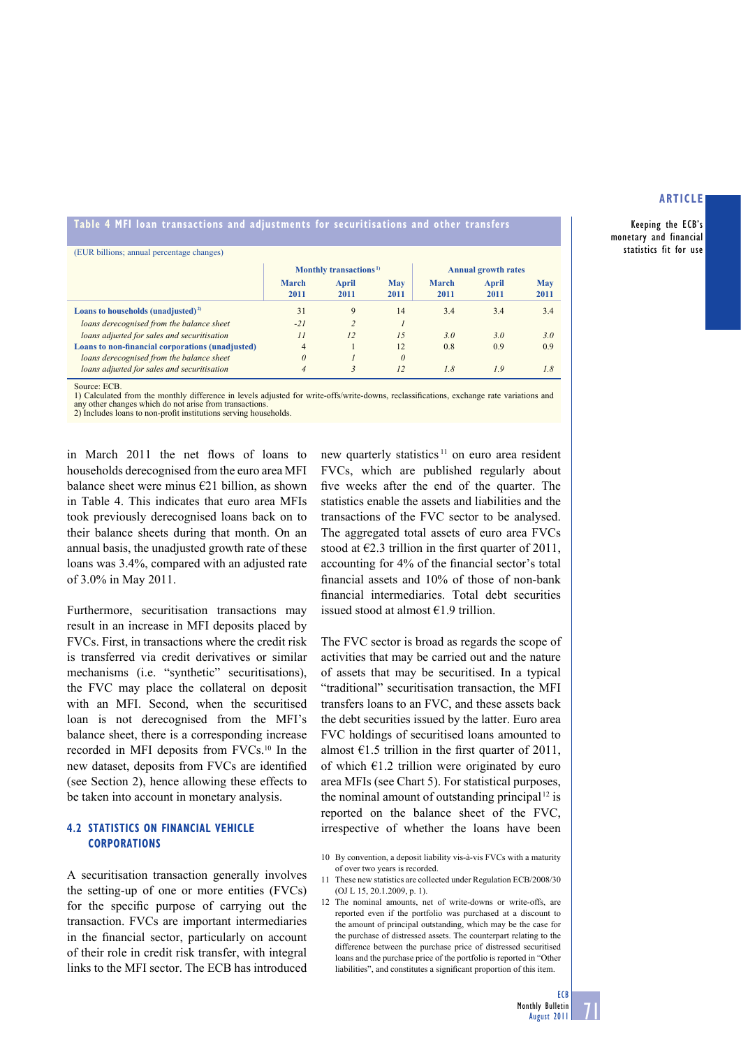Keeping the ECB's monetary and financial statistics fit for use

## **Table 4 MFI loan transactions and adjustments for securitisations and other transfers**

|                                                  | Monthly transactions <sup>1)</sup> |                         |             | <b>Annual growth rates</b> |               |                    |
|--------------------------------------------------|------------------------------------|-------------------------|-------------|----------------------------|---------------|--------------------|
|                                                  | <b>March</b><br>2011               | April<br>2011           | May<br>2011 | March<br>2011              | April<br>2011 | <b>May</b><br>2011 |
| Loans to households (unadjusted) <sup>2)</sup>   | 31                                 | 9                       | 14          | 3.4                        | 3.4           | 3.4                |
| loans derecognised from the balance sheet        | $-21$                              | $\mathfrak{D}$          |             |                            |               |                    |
| loans adjusted for sales and securitisation      | II                                 | 12                      | 1.5         | 3.0                        | 3.0           | 3.0                |
| Loans to non-financial corporations (unadjusted) | $\overline{4}$                     |                         | 12          | 0.8                        | 0.9           | 0.9                |
| loans derecognised from the balance sheet        | $\theta$                           |                         | $\theta$    |                            |               |                    |
| loans adjusted for sales and securitisation      | $\overline{4}$                     | $\overline{\mathbf{3}}$ | 12          | 1.8                        | 1.9           | 1.8                |

Source: ECB

1) Calculated from the monthly difference in levels adjusted for write-offs/write-downs, reclassifications, exchange rate variations and any other changes which do not arise from transactions.

2) Includes loans to non-profit institutions serving households.

in March 2011 the net flows of loans to households derecognised from the euro area MFI balance sheet were minus  $E21$  billion, as shown in Table 4. This indicates that euro area MFIs took previously derecognised loans back on to their balance sheets during that month. On an annual basis, the unadjusted growth rate of these loans was 3.4%, compared with an adjusted rate of 3.0% in May 2011.

Furthermore, securitisation transactions may result in an increase in MFI deposits placed by FVCs. First, in transactions where the credit risk is transferred via credit derivatives or similar mechanisms (i.e. "synthetic" securitisations), the FVC may place the collateral on deposit with an MFI. Second, when the securitised loan is not derecognised from the MFI's balance sheet, there is a corresponding increase recorded in MFI deposits from FVCs.10 In the new dataset, deposits from FVCs are identified (see Section 2), hence allowing these effects to be taken into account in monetary analysis.

## **4.2 STATISTICS ON FINANCIAL VEHICLE CORPORATIONS**

A securitisation transaction generally involves the setting-up of one or more entities (FVCs) for the specific purpose of carrying out the transaction. FVCs are important intermediaries in the financial sector, particularly on account of their role in credit risk transfer, with integral links to the MFI sector. The ECB has introduced

new quarterly statistics 11 on euro area resident FVCs, which are published regularly about five weeks after the end of the quarter. The statistics enable the assets and liabilities and the transactions of the FVC sector to be analysed. The aggregated total assets of euro area FVCs stood at  $\epsilon$ 2.3 trillion in the first quarter of 2011, accounting for 4% of the financial sector's total financial assets and  $10\%$  of those of non-bank financial intermediaries. Total debt securities issued stood at almost  $€1$ .9 trillion.

The FVC sector is broad as regards the scope of activities that may be carried out and the nature of assets that may be securitised. In a typical "traditional" securitisation transaction, the MFI transfers loans to an FVC, and these assets back the debt securities issued by the latter. Euro area FVC holdings of securitised loans amounted to almost  $\epsilon$ 1.5 trillion in the first quarter of 2011, of which  $\epsilon$ 1.2 trillion were originated by euro area MFIs (see Chart 5). For statistical purposes, the nominal amount of outstanding principal  $12$  is reported on the balance sheet of the FVC, irrespective of whether the loans have been

71

<sup>10</sup> By convention, a deposit liability vis-à-vis FVCs with a maturity of over two years is recorded.

<sup>11</sup> These new statistics are collected under Regulation ECB/2008/30 (OJ L 15, 20.1.2009, p. 1).

<sup>12</sup> The nominal amounts, net of write-downs or write-offs, are reported even if the portfolio was purchased at a discount to the amount of principal outstanding, which may be the case for the purchase of distressed assets. The counterpart relating to the difference between the purchase price of distressed securitised loans and the purchase price of the portfolio is reported in "Other liabilities", and constitutes a significant proportion of this item.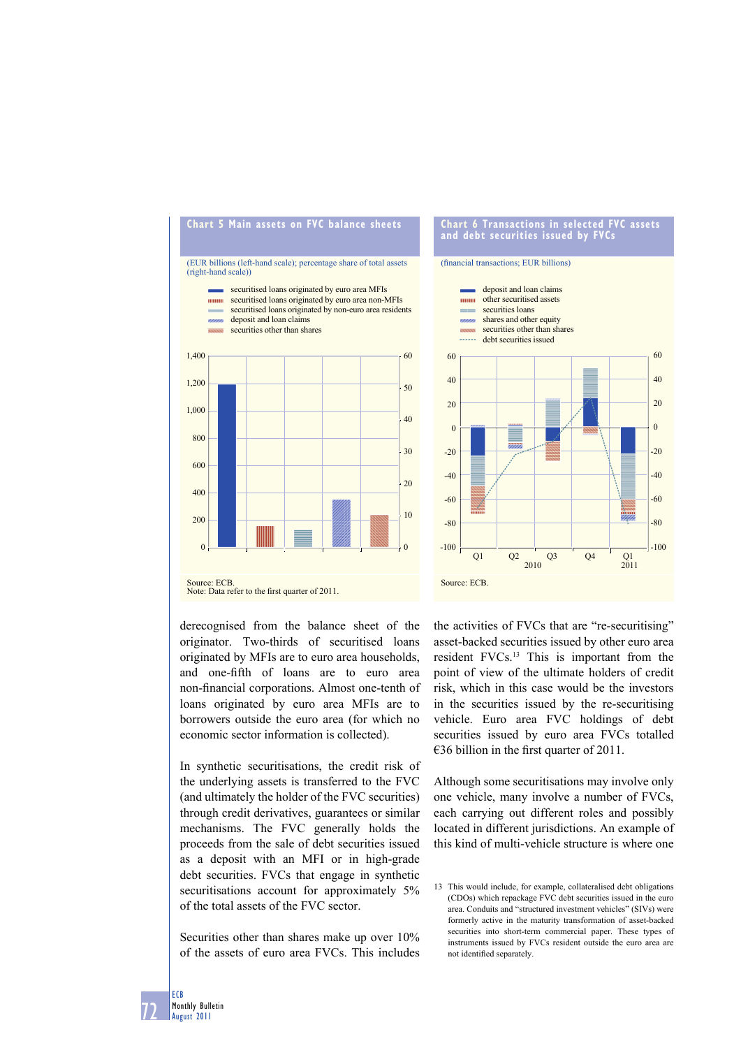



#### (financial transactions; EUR billions)



derecognised from the balance sheet of the originator. Two-thirds of securitised loans originated by MFIs are to euro area households, and one-fifth of loans are to euro area non-financial corporations. Almost one-tenth of loans originated by euro area MFIs are to borrowers outside the euro area (for which no economic sector information is collected).

In synthetic securitisations, the credit risk of the underlying assets is transferred to the FVC (and ultimately the holder of the FVC securities) through credit derivatives, guarantees or similar mechanisms. The FVC generally holds the proceeds from the sale of debt securities issued as a deposit with an MFI or in high-grade debt securities. FVCs that engage in synthetic securitisations account for approximately 5% of the total assets of the FVC sector.

Securities other than shares make up over 10% of the assets of euro area FVCs. This includes

the activities of FVCs that are "re-securitising" asset-backed securities issued by other euro area resident FVCs.<sup>13</sup> This is important from the point of view of the ultimate holders of credit risk, which in this case would be the investors in the securities issued by the re-securitising vehicle. Euro area FVC holdings of debt securities issued by euro area FVCs totalled  $\epsilon$ 36 billion in the first quarter of 2011.

Although some securitisations may involve only one vehicle, many involve a number of FVCs, each carrying out different roles and possibly located in different jurisdictions. An example of this kind of multi-vehicle structure is where one

<sup>13</sup> This would include, for example, collateralised debt obligations (CDOs) which repackage FVC debt securities issued in the euro area. Conduits and "structured investment vehicles" (SIVs) were formerly active in the maturity transformation of asset-backed securities into short-term commercial paper. These types of instruments issued by FVCs resident outside the euro area are not identified separately.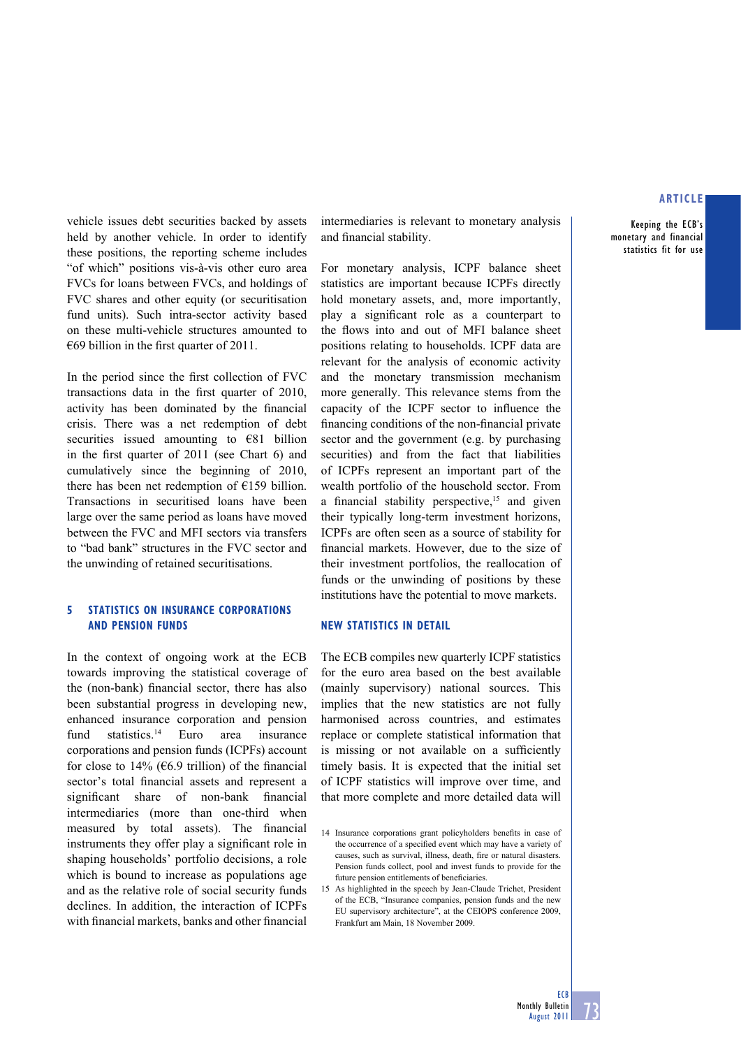Keeping the ECB's monetary and financial statistics fit for use

vehicle issues debt securities backed by assets held by another vehicle. In order to identify these positions, the reporting scheme includes "of which" positions vis-à-vis other euro area FVCs for loans between FVCs, and holdings of FVC shares and other equity (or securitisation fund units). Such intra-sector activity based on these multi-vehicle structures amounted to  $\epsilon$ 69 billion in the first quarter of 2011.

In the period since the first collection of FVC transactions data in the first quarter of 2010, activity has been dominated by the financial crisis. There was a net redemption of debt securities issued amounting to €81 billion in the first quarter of  $2011$  (see Chart 6) and cumulatively since the beginning of 2010, there has been net redemption of €159 billion. Transactions in securitised loans have been large over the same period as loans have moved between the FVC and MFI sectors via transfers to "bad bank" structures in the FVC sector and the unwinding of retained securitisations.

## **5 STATISTICS ON INSURANCE CORPORATIONS AND PENSION FUNDS**

In the context of ongoing work at the ECB towards improving the statistical coverage of the (non-bank) financial sector, there has also been substantial progress in developing new, enhanced insurance corporation and pension fund statistics.<sup>14</sup> Euro area insurance corporations and pension funds (ICPFs) account for close to 14% ( $6.9$  trillion) of the financial sector's total financial assets and represent a significant share of non-bank financial intermediaries (more than one-third when measured by total assets). The financial instruments they offer play a significant role in shaping households' portfolio decisions, a role which is bound to increase as populations age and as the relative role of social security funds declines. In addition, the interaction of ICPFs with financial markets, banks and other financial intermediaries is relevant to monetary analysis and financial stability.

For monetary analysis, ICPF balance sheet statistics are important because ICPFs directly hold monetary assets, and, more importantly, play a significant role as a counterpart to the flows into and out of MFI balance sheet positions relating to households. ICPF data are relevant for the analysis of economic activity and the monetary transmission mechanism more generally. This relevance stems from the capacity of the ICPF sector to influence the financing conditions of the non-financial private sector and the government (e.g. by purchasing securities) and from the fact that liabilities of ICPFs represent an important part of the wealth portfolio of the household sector. From a financial stability perspective,<sup>15</sup> and given their typically long-term investment horizons, ICPFs are often seen as a source of stability for financial markets. However, due to the size of their investment portfolios, the reallocation of funds or the unwinding of positions by these institutions have the potential to move markets.

#### **NEW STATISTICS IN DETAIL**

The ECB compiles new quarterly ICPF statistics for the euro area based on the best available (mainly supervisory) national sources. This implies that the new statistics are not fully harmonised across countries, and estimates replace or complete statistical information that is missing or not available on a sufficiently timely basis. It is expected that the initial set of ICPF statistics will improve over time, and that more complete and more detailed data will

15 As highlighted in the speech by Jean-Claude Trichet, President of the ECB, "Insurance companies, pension funds and the new EU supervisory architecture", at the CEIOPS conference 2009, Frankfurt am Main, 18 November 2009.

<sup>14</sup> Insurance corporations grant policyholders benefits in case of the occurrence of a specified event which may have a variety of causes, such as survival, illness, death, fire or natural disasters. Pension funds collect, pool and invest funds to provide for the future pension entitlements of beneficiaries.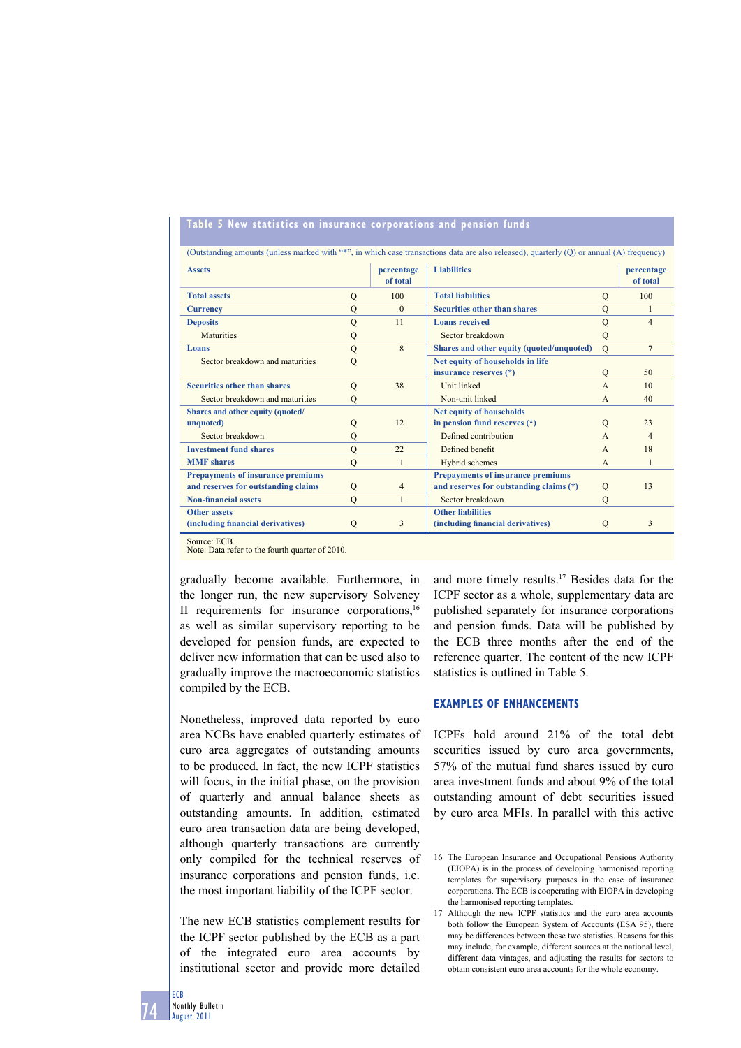## **Table 5 New statistics on insurance corporations and pension funds**

| <b>Assets</b>                            |                | percentage<br>of total | <b>Liabilities</b>                        |               | percentage<br>of total |
|------------------------------------------|----------------|------------------------|-------------------------------------------|---------------|------------------------|
| <b>Total assets</b>                      | Q              | 100                    | <b>Total liabilities</b>                  | $\mathbf{O}$  | 100                    |
| <b>Currency</b>                          | $\mathbf Q$    | $\Omega$               | <b>Securities other than shares</b>       | $\mathbf{O}$  |                        |
| <b>Deposits</b>                          | $\mathbf Q$    | 11                     | <b>Loans</b> received                     | $\mathbf Q$   | $\overline{4}$         |
| <b>Maturities</b>                        | Q              |                        | Sector breakdown                          | Q             |                        |
| Loans                                    | $\mathbf Q$    | 8                      | Shares and other equity (quoted/unquoted) | $\Omega$      | $\overline{7}$         |
| Sector breakdown and maturities          | $\overline{Q}$ |                        | Net equity of households in life          |               |                        |
|                                          |                |                        | insurance reserves (*)                    | Q             | 50                     |
| <b>Securities other than shares</b>      | $\mathcal{O}$  | 38                     | Unit linked                               | $\mathsf{A}$  | 10                     |
| Sector breakdown and maturities          | Q              |                        | Non-unit linked                           | $\mathsf{A}$  | 40                     |
| Shares and other equity (quoted/         |                |                        | <b>Net equity of households</b>           |               |                        |
| unquoted)                                | Q              | 12                     | in pension fund reserves (*)              | $\mathcal{O}$ | 23                     |
| Sector breakdown                         | Q              |                        | Defined contribution                      | $\mathsf{A}$  | 4                      |
| <b>Investment fund shares</b>            | $\mathbf{O}$   | 22                     | Defined benefit                           | $\mathsf{A}$  | 18                     |
| <b>MMF</b> shares                        | $\mathbf Q$    | $\mathbf{1}$           | Hybrid schemes                            | $\mathsf{A}$  | 1                      |
| <b>Prepayments of insurance premiums</b> |                |                        | <b>Prepayments of insurance premiums</b>  |               |                        |
| and reserves for outstanding claims      | Q              | $\overline{4}$         | and reserves for outstanding claims (*)   | Q             | 13                     |
| <b>Non-financial assets</b>              | $\mathbf Q$    | $\mathbf{1}$           | Sector breakdown                          | Q             |                        |
| <b>Other assets</b>                      |                |                        | <b>Other liabilities</b>                  |               |                        |
| (including financial derivatives)        | Q              | 3                      | (including financial derivatives)         | Q             | 3                      |

Note: Data refer to the fourth quarter of 2010.

gradually become available. Furthermore, in the longer run, the new supervisory Solvency II requirements for insurance corporations,16 as well as similar supervisory reporting to be developed for pension funds, are expected to deliver new information that can be used also to gradually improve the macroeconomic statistics compiled by the ECB.

Nonetheless, improved data reported by euro area NCBs have enabled quarterly estimates of euro area aggregates of outstanding amounts to be produced. In fact, the new ICPF statistics will focus, in the initial phase, on the provision of quarterly and annual balance sheets as outstanding amounts. In addition, estimated euro area transaction data are being developed, although quarterly transactions are currently only compiled for the technical reserves of insurance corporations and pension funds, i.e. the most important liability of the ICPF sector.

The new ECB statistics complement results for the ICPF sector published by the ECB as a part of the integrated euro area accounts by institutional sector and provide more detailed and more timely results.17 Besides data for the ICPF sector as a whole, supplementary data are published separately for insurance corporations and pension funds. Data will be published by the ECB three months after the end of the reference quarter. The content of the new ICPF statistics is outlined in Table 5.

## **EXAMPLES OF ENHANCEMENTS**

ICPFs hold around 21% of the total debt securities issued by euro area governments, 57% of the mutual fund shares issued by euro area investment funds and about 9% of the total outstanding amount of debt securities issued by euro area MFIs. In parallel with this active

<sup>16</sup> The European Insurance and Occupational Pensions Authority (EIOPA) is in the process of developing harmonised reporting templates for supervisory purposes in the case of insurance corporations. The ECB is cooperating with EIOPA in developing the harmonised reporting templates.

<sup>17</sup> Although the new ICPF statistics and the euro area accounts both follow the European System of Accounts (ESA 95), there may be differences between these two statistics. Reasons for this may include, for example, different sources at the national level, different data vintages, and adjusting the results for sectors to obtain consistent euro area accounts for the whole economy.